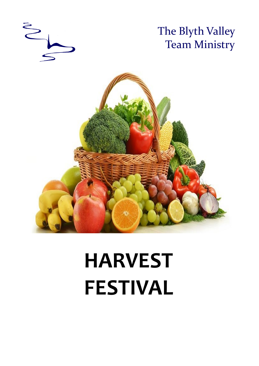

# **HARVEST FESTIVAL**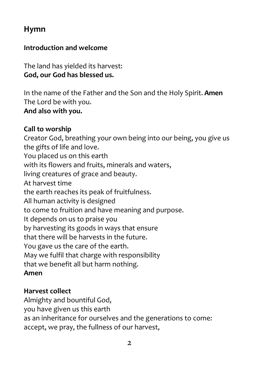# **Hymn**

#### **Introduction and welcome**

The land has yielded its harvest: **God, our God has blessed us.**

In the name of the Father and the Son and the Holy Spirit. **Amen** The Lord be with you.

**And also with you.**

#### **Call to worship**

Creator God, breathing your own being into our being, you give us the gifts of life and love. You placed us on this earth with its flowers and fruits, minerals and waters, living creatures of grace and beauty. At harvest time

the earth reaches its peak of fruitfulness.

All human activity is designed

to come to fruition and have meaning and purpose.

It depends on us to praise you

by harvesting its goods in ways that ensure

that there will be harvests in the future.

You gave us the care of the earth.

May we fulfil that charge with responsibility

that we benefit all but harm nothing.

## **Amen**

## **Harvest collect**

Almighty and bountiful God, you have given us this earth as an inheritance for ourselves and the generations to come: accept, we pray, the fullness of our harvest,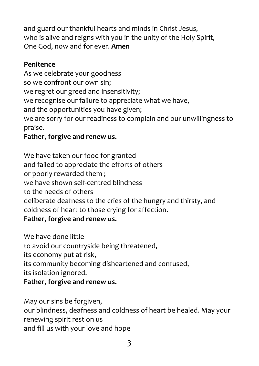and guard our thankful hearts and minds in Christ Jesus, who is alive and reigns with you in the unity of the Holy Spirit, One God, now and for ever. **Amen**

#### **Penitence**

As we celebrate your goodness so we confront our own sin; we regret our greed and insensitivity; we recognise our failure to appreciate what we have, and the opportunities you have given; we are sorry for our readiness to complain and our unwillingness to praise.

## **Father, forgive and renew us.**

We have taken our food for granted and failed to appreciate the efforts of others or poorly rewarded them ; we have shown self-centred blindness to the needs of others deliberate deafness to the cries of the hungry and thirsty, and coldness of heart to those crying for affection. **Father, forgive and renew us.** 

We have done little to avoid our countryside being threatened, its economy put at risk, its community becoming disheartened and confused, its isolation ignored. **Father, forgive and renew us.** 

May our sins be forgiven, our blindness, deafness and coldness of heart be healed. May your renewing spirit rest on us and fill us with your love and hope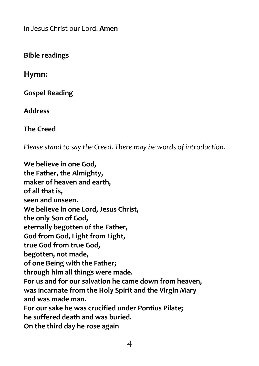in Jesus Christ our Lord. **Amen** 

**Bible readings**

**Hymn:**

**Gospel Reading**

**Address**

**The Creed**

*Please stand to say the Creed. There may be words of introduction.*

**We believe in one God, the Father, the Almighty, maker of heaven and earth, of all that is, seen and unseen. We believe in one Lord, Jesus Christ, the only Son of God, eternally begotten of the Father, God from God, Light from Light, true God from true God, begotten, not made, of one Being with the Father; through him all things were made. For us and for our salvation he came down from heaven, was incarnate from the Holy Spirit and the Virgin Mary and was made man. For our sake he was crucified under Pontius Pilate; he suffered death and was buried. On the third day he rose again**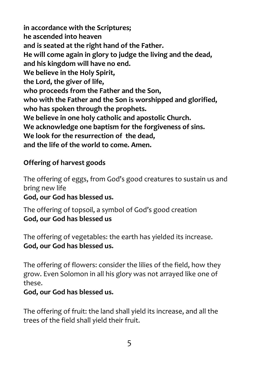**in accordance with the Scriptures; he ascended into heaven and is seated at the right hand of the Father. He will come again in glory to judge the living and the dead, and his kingdom will have no end. We believe in the Holy Spirit, the Lord, the giver of life, who proceeds from the Father and the Son, who with the Father and the Son is worshipped and glorified, who has spoken through the prophets. We believe in one holy catholic and apostolic Church. We acknowledge one baptism for the forgiveness of sins. We look for the resurrection of the dead, and the life of the world to come. Amen.** 

#### **Offering of harvest goods**

The offering of eggs, from God's good creatures to sustain us and bring new life

**God, our God has blessed us.**

The offering of topsoil, a symbol of God's good creation **God, our God has blessed us**

The offering of vegetables: the earth has yielded its increase. **God, our God has blessed us.**

The offering of flowers: consider the lilies of the field, how they grow. Even Solomon in all his glory was not arrayed like one of these.

#### **God, our God has blessed us.**

The offering of fruit: the land shall yield its increase, and all the trees of the field shall yield their fruit.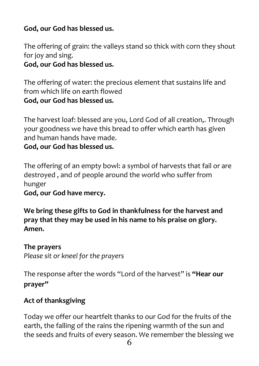## **God, our God has blessed us.**

The offering of grain: the valleys stand so thick with corn they shout for joy and sing.

**God, our God has blessed us.**

The offering of water: the precious element that sustains life and from which life on earth flowed **God, our God has blessed us.**

The harvest loaf: blessed are you, Lord God of all creation,. Through your goodness we have this bread to offer which earth has given and human hands have made.

**God, our God has blessed us.**

The offering of an empty bowl: a symbol of harvests that fail or are destroyed , and of people around the world who suffer from hunger

**God, our God have mercy.**

**We bring these gifts to God in thankfulness for the harvest and pray that they may be used in his name to his praise on glory. Amen.**

**The prayers** *Please sit or kneel for the prayers*

The response after the words "Lord of the harvest" is **"Hear our prayer"**

## **Act of thanksgiving**

Today we offer our heartfelt thanks to our God for the fruits of the earth, the falling of the rains the ripening warmth of the sun and the seeds and fruits of every season. We remember the blessing we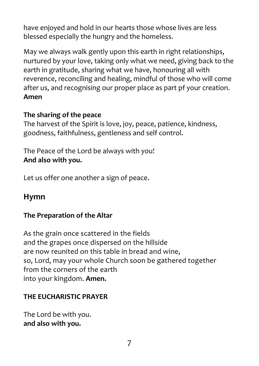have enjoyed and hold in our hearts those whose lives are less blessed especially the hungry and the homeless.

May we always walk gently upon this earth in right relationships, nurtured by your love, taking only what we need, giving back to the earth in gratitude, sharing what we have, honouring all with reverence, reconciling and healing, mindful of those who will come after us, and recognising our proper place as part pf your creation. **Amen**

#### **The sharing of the peace**

The harvest of the Spirit is love, joy, peace, patience, kindness, goodness, faithfulness, gentleness and self control.

The Peace of the Lord be always with you! **And also with you.** 

Let us offer one another a sign of peace.

## **Hymn**

## **The Preparation of the Altar**

As the grain once scattered in the fields and the grapes once dispersed on the hillside are now reunited on this table in bread and wine, so, Lord, may your whole Church soon be gathered together from the corners of the earth into your kingdom. **Amen.**

#### **THE EUCHARISTIC PRAYER**

The Lord be with you. **and also with you.**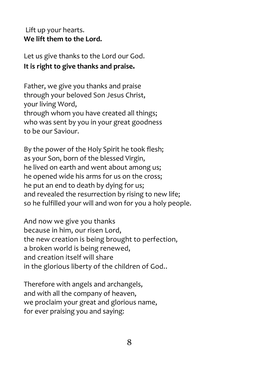#### Lift up your hearts. **We lift them to the Lord.**

Let us give thanks to the Lord our God. **It is right to give thanks and praise.**

Father, we give you thanks and praise through your beloved Son Jesus Christ, your living Word, through whom you have created all things; who was sent by you in your great goodness to be our Saviour.

By the power of the Holy Spirit he took flesh; as your Son, born of the blessed Virgin, he lived on earth and went about among us; he opened wide his arms for us on the cross; he put an end to death by dying for us; and revealed the resurrection by rising to new life; so he fulfilled your will and won for you a holy people.

And now we give you thanks because in him, our risen Lord, the new creation is being brought to perfection, a broken world is being renewed, and creation itself will share in the glorious liberty of the children of God..

Therefore with angels and archangels, and with all the company of heaven, we proclaim your great and glorious name, for ever praising you and saying: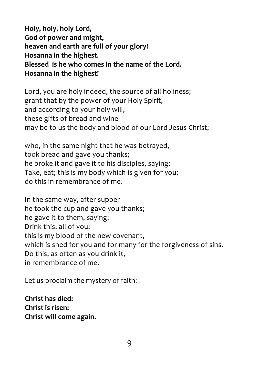**Holy, holy, holy Lord, God of power and might, heaven and earth are full of your glory! Hosanna in the highest. Blessed is he who comes in the name of the Lord. Hosanna in the highest!**

Lord, you are holy indeed, the source of all holiness; grant that by the power of your Holy Spirit, and according to your holy will, these gifts of bread and wine may be to us the body and blood of our Lord Jesus Christ;

who, in the same night that he was betrayed, took bread and gave you thanks; he broke it and gave it to his disciples, saying: Take, eat; this is my body which is given for you; do this in remembrance of me.

In the same way, after supper he took the cup and gave you thanks; he gave it to them, saying: Drink this, all of you; this is my blood of the new covenant, which is shed for you and for many for the forgiveness of sins. Do this, as often as you drink it, in remembrance of me.

Let us proclaim the mystery of faith:

**Christ has died: Christ is risen: Christ will come again.**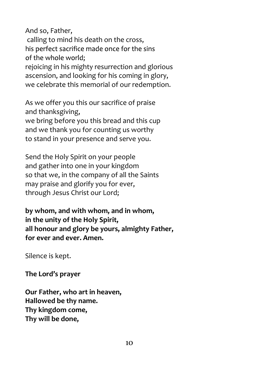And so, Father,

calling to mind his death on the cross, his perfect sacrifice made once for the sins of the whole world:

rejoicing in his mighty resurrection and glorious ascension, and looking for his coming in glory, we celebrate this memorial of our redemption.

As we offer you this our sacrifice of praise and thanksgiving,

we bring before you this bread and this cup and we thank you for counting us worthy to stand in your presence and serve you.

Send the Holy Spirit on your people and gather into one in your kingdom so that we, in the company of all the Saints may praise and glorify you for ever, through Jesus Christ our Lord;

**by whom, and with whom, and in whom, in the unity of the Holy Spirit, all honour and glory be yours, almighty Father, for ever and ever. Amen.**

Silence is kept.

**The Lord's prayer**

**Our Father, who art in heaven, Hallowed be thy name. Thy kingdom come, Thy will be done,**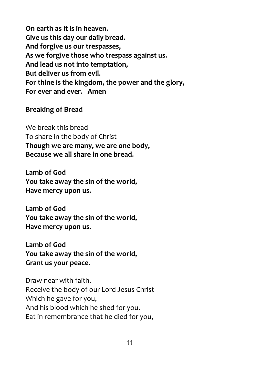**On earth as it is in heaven. Give us this day our daily bread. And forgive us our trespasses, As we forgive those who trespass against us. And lead us not into temptation, But deliver us from evil. For thine is the kingdom, the power and the glory, For ever and ever. Amen** 

#### **Breaking of Bread**

We break this bread To share in the body of Christ **Though we are many, we are one body, Because we all share in one bread.**

**Lamb of God You take away the sin of the world, Have mercy upon us.**

**Lamb of God You take away the sin of the world, Have mercy upon us.**

**Lamb of God You take away the sin of the world, Grant us your peace.**

Draw near with faith. Receive the body of our Lord Jesus Christ Which he gave for you, And his blood which he shed for you. Eat in remembrance that he died for you,